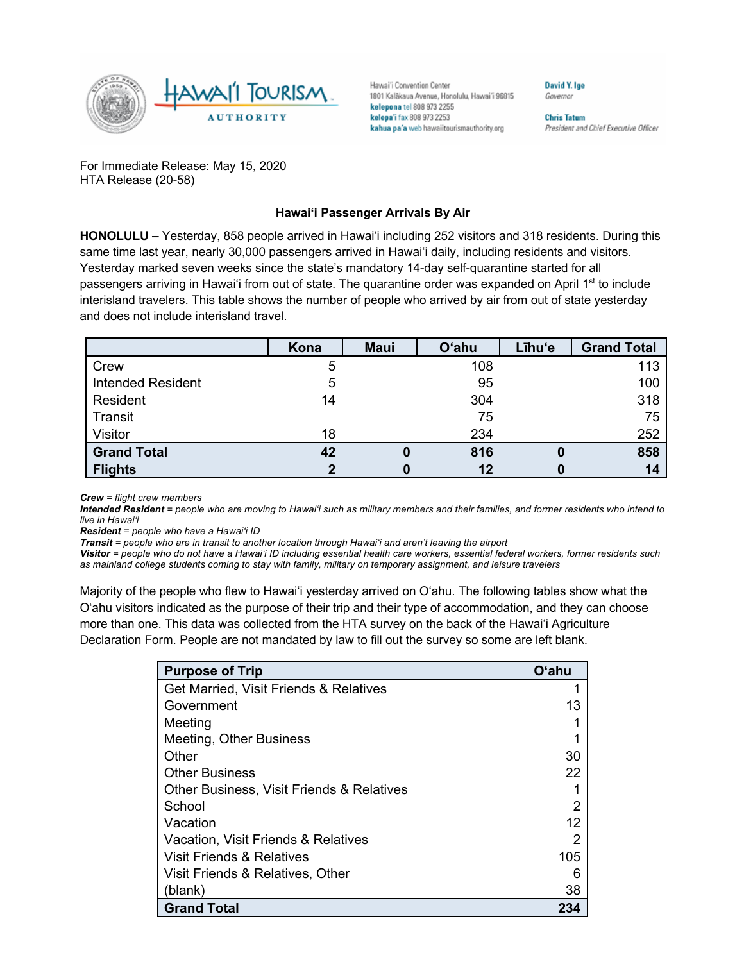

Hawai'i Convention Center 1801 Kalākaua Avenue, Honolulu, Hawai'i 96815 kelepona tel 808 973 2255 kelepa'i fax 808 973 2253 kahua pa'a web hawaiitourismauthority.org

David Y. Ige Governor

**Chris Tatum** President and Chief Executive Officer

For Immediate Release: May 15, 2020 HTA Release (20-58)

## **Hawai'i Passenger Arrivals By Air**

**HONOLULU –** Yesterday, 858 people arrived in Hawai'i including 252 visitors and 318 residents. During this same time last year, nearly 30,000 passengers arrived in Hawai'i daily, including residents and visitors. Yesterday marked seven weeks since the state's mandatory 14-day self-quarantine started for all passengers arriving in Hawai'i from out of state. The quarantine order was expanded on April 1<sup>st</sup> to include interisland travelers. This table shows the number of people who arrived by air from out of state yesterday and does not include interisland travel.

|                          | Kona | <b>Maui</b> | <b>O'ahu</b> | Līhu'e | <b>Grand Total</b> |
|--------------------------|------|-------------|--------------|--------|--------------------|
| Crew                     | 5    |             | 108          |        | 113                |
| <b>Intended Resident</b> | 5    |             | 95           |        | 100                |
| Resident                 | 14   |             | 304          |        | 318                |
| Transit                  |      |             | 75           |        | 75                 |
| Visitor                  | 18   |             | 234          |        | 252                |
| <b>Grand Total</b>       | 42   |             | 816          |        | 858                |
| <b>Flights</b>           |      |             | 12           |        | 14                 |

*Crew = flight crew members*

*Intended Resident = people who are moving to Hawai'i such as military members and their families, and former residents who intend to live in Hawai'i* 

*Resident = people who have a Hawai'i ID*

*Transit = people who are in transit to another location through Hawai'i and aren't leaving the airport*

*Visitor = people who do not have a Hawai'i ID including essential health care workers, essential federal workers, former residents such as mainland college students coming to stay with family, military on temporary assignment, and leisure travelers*

Majority of the people who flew to Hawai'i yesterday arrived on O'ahu. The following tables show what the O'ahu visitors indicated as the purpose of their trip and their type of accommodation, and they can choose more than one. This data was collected from the HTA survey on the back of the Hawai'i Agriculture Declaration Form. People are not mandated by law to fill out the survey so some are left blank.

| <b>Purpose of Trip</b>                    | Oʻahu |
|-------------------------------------------|-------|
| Get Married, Visit Friends & Relatives    |       |
| Government                                | 13    |
| Meeting                                   |       |
| Meeting, Other Business                   |       |
| Other                                     | 30    |
| <b>Other Business</b>                     | 22    |
| Other Business, Visit Friends & Relatives |       |
| School                                    | 2     |
| Vacation                                  | 12    |
| Vacation, Visit Friends & Relatives       | 2     |
| Visit Friends & Relatives                 | 105   |
| Visit Friends & Relatives, Other          | 6     |
| (blank)                                   | 38    |
| <b>Grand Total</b>                        | 234   |